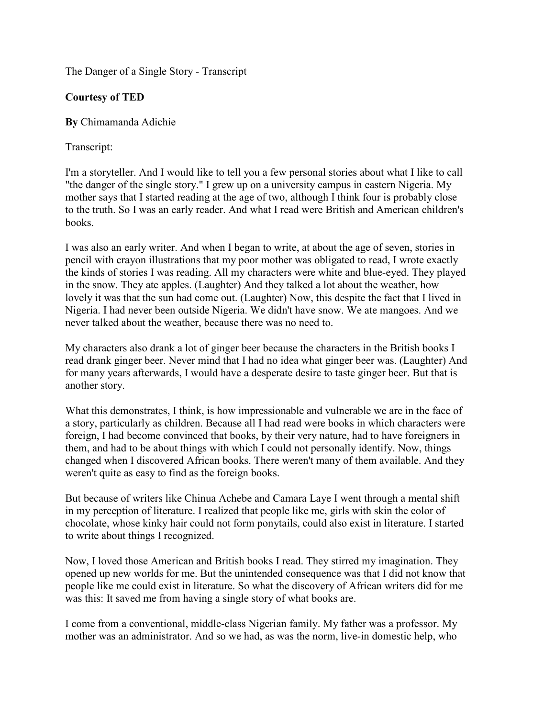The Danger of a Single Story - Transcript

## **Courtesy of TED**

**By** Chimamanda Adichie

Transcript:

I'm a storyteller. And I would like to tell you a few personal stories about what I like to call "the danger of the single story." I grew up on a university campus in eastern Nigeria. My mother says that I started reading at the age of two, although I think four is probably close to the truth. So I was an early reader. And what I read were British and American children's books.

I was also an early writer. And when I began to write, at about the age of seven, stories in pencil with crayon illustrations that my poor mother was obligated to read, I wrote exactly the kinds of stories I was reading. All my characters were white and blue-eyed. They played in the snow. They ate apples. (Laughter) And they talked a lot about the weather, how lovely it was that the sun had come out. (Laughter) Now, this despite the fact that I lived in Nigeria. I had never been outside Nigeria. We didn't have snow. We ate mangoes. And we never talked about the weather, because there was no need to.

My characters also drank a lot of ginger beer because the characters in the British books I read drank ginger beer. Never mind that I had no idea what ginger beer was. (Laughter) And for many years afterwards, I would have a desperate desire to taste ginger beer. But that is another story.

What this demonstrates, I think, is how impressionable and vulnerable we are in the face of a story, particularly as children. Because all I had read were books in which characters were foreign, I had become convinced that books, by their very nature, had to have foreigners in them, and had to be about things with which I could not personally identify. Now, things changed when I discovered African books. There weren't many of them available. And they weren't quite as easy to find as the foreign books.

But because of writers like Chinua Achebe and Camara Laye I went through a mental shift in my perception of literature. I realized that people like me, girls with skin the color of chocolate, whose kinky hair could not form ponytails, could also exist in literature. I started to write about things I recognized.

Now, I loved those American and British books I read. They stirred my imagination. They opened up new worlds for me. But the unintended consequence was that I did not know that people like me could exist in literature. So what the discovery of African writers did for me was this: It saved me from having a single story of what books are.

I come from a conventional, middle-class Nigerian family. My father was a professor. My mother was an administrator. And so we had, as was the norm, live-in domestic help, who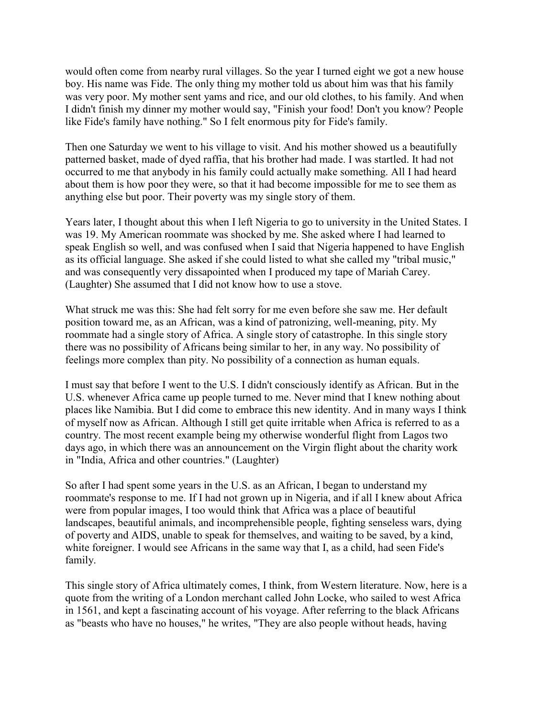would often come from nearby rural villages. So the year I turned eight we got a new house boy. His name was Fide. The only thing my mother told us about him was that his family was very poor. My mother sent yams and rice, and our old clothes, to his family. And when I didn't finish my dinner my mother would say, "Finish your food! Don't you know? People like Fide's family have nothing." So I felt enormous pity for Fide's family.

Then one Saturday we went to his village to visit. And his mother showed us a beautifully patterned basket, made of dyed raffia, that his brother had made. I was startled. It had not occurred to me that anybody in his family could actually make something. All I had heard about them is how poor they were, so that it had become impossible for me to see them as anything else but poor. Their poverty was my single story of them.

Years later, I thought about this when I left Nigeria to go to university in the United States. I was 19. My American roommate was shocked by me. She asked where I had learned to speak English so well, and was confused when I said that Nigeria happened to have English as its official language. She asked if she could listed to what she called my "tribal music," and was consequently very dissapointed when I produced my tape of Mariah Carey. (Laughter) She assumed that I did not know how to use a stove.

What struck me was this: She had felt sorry for me even before she saw me. Her default position toward me, as an African, was a kind of patronizing, well-meaning, pity. My roommate had a single story of Africa. A single story of catastrophe. In this single story there was no possibility of Africans being similar to her, in any way. No possibility of feelings more complex than pity. No possibility of a connection as human equals.

I must say that before I went to the U.S. I didn't consciously identify as African. But in the U.S. whenever Africa came up people turned to me. Never mind that I knew nothing about places like Namibia. But I did come to embrace this new identity. And in many ways I think of myself now as African. Although I still get quite irritable when Africa is referred to as a country. The most recent example being my otherwise wonderful flight from Lagos two days ago, in which there was an announcement on the Virgin flight about the charity work in "India, Africa and other countries." (Laughter)

So after I had spent some years in the U.S. as an African, I began to understand my roommate's response to me. If I had not grown up in Nigeria, and if all I knew about Africa were from popular images, I too would think that Africa was a place of beautiful landscapes, beautiful animals, and incomprehensible people, fighting senseless wars, dying of poverty and AIDS, unable to speak for themselves, and waiting to be saved, by a kind, white foreigner. I would see Africans in the same way that I, as a child, had seen Fide's family.

This single story of Africa ultimately comes, I think, from Western literature. Now, here is a quote from the writing of a London merchant called John Locke, who sailed to west Africa in 1561, and kept a fascinating account of his voyage. After referring to the black Africans as "beasts who have no houses," he writes, "They are also people without heads, having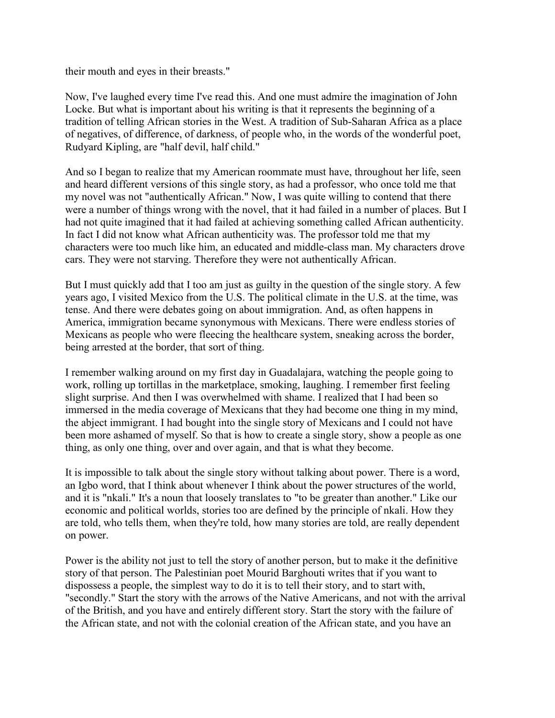their mouth and eyes in their breasts."

Now, I've laughed every time I've read this. And one must admire the imagination of John Locke. But what is important about his writing is that it represents the beginning of a tradition of telling African stories in the West. A tradition of Sub-Saharan Africa as a place of negatives, of difference, of darkness, of people who, in the words of the wonderful poet, Rudyard Kipling, are "half devil, half child."

And so I began to realize that my American roommate must have, throughout her life, seen and heard different versions of this single story, as had a professor, who once told me that my novel was not "authentically African." Now, I was quite willing to contend that there were a number of things wrong with the novel, that it had failed in a number of places. But I had not quite imagined that it had failed at achieving something called African authenticity. In fact I did not know what African authenticity was. The professor told me that my characters were too much like him, an educated and middle-class man. My characters drove cars. They were not starving. Therefore they were not authentically African.

But I must quickly add that I too am just as guilty in the question of the single story. A few years ago, I visited Mexico from the U.S. The political climate in the U.S. at the time, was tense. And there were debates going on about immigration. And, as often happens in America, immigration became synonymous with Mexicans. There were endless stories of Mexicans as people who were fleecing the healthcare system, sneaking across the border, being arrested at the border, that sort of thing.

I remember walking around on my first day in Guadalajara, watching the people going to work, rolling up tortillas in the marketplace, smoking, laughing. I remember first feeling slight surprise. And then I was overwhelmed with shame. I realized that I had been so immersed in the media coverage of Mexicans that they had become one thing in my mind, the abject immigrant. I had bought into the single story of Mexicans and I could not have been more ashamed of myself. So that is how to create a single story, show a people as one thing, as only one thing, over and over again, and that is what they become.

It is impossible to talk about the single story without talking about power. There is a word, an Igbo word, that I think about whenever I think about the power structures of the world, and it is "nkali." It's a noun that loosely translates to "to be greater than another." Like our economic and political worlds, stories too are defined by the principle of nkali. How they are told, who tells them, when they're told, how many stories are told, are really dependent on power.

Power is the ability not just to tell the story of another person, but to make it the definitive story of that person. The Palestinian poet Mourid Barghouti writes that if you want to dispossess a people, the simplest way to do it is to tell their story, and to start with, "secondly." Start the story with the arrows of the Native Americans, and not with the arrival of the British, and you have and entirely different story. Start the story with the failure of the African state, and not with the colonial creation of the African state, and you have an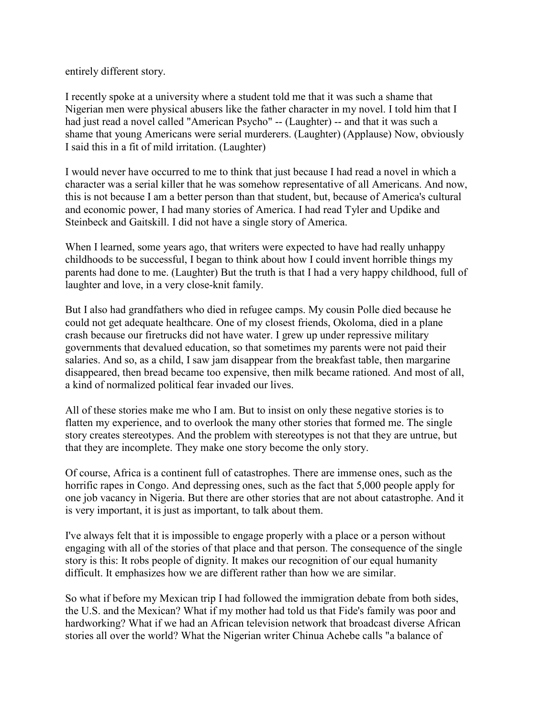entirely different story.

I recently spoke at a university where a student told me that it was such a shame that Nigerian men were physical abusers like the father character in my novel. I told him that I had just read a novel called "American Psycho" -- (Laughter) -- and that it was such a shame that young Americans were serial murderers. (Laughter) (Applause) Now, obviously I said this in a fit of mild irritation. (Laughter)

I would never have occurred to me to think that just because I had read a novel in which a character was a serial killer that he was somehow representative of all Americans. And now, this is not because I am a better person than that student, but, because of America's cultural and economic power, I had many stories of America. I had read Tyler and Updike and Steinbeck and Gaitskill. I did not have a single story of America.

When I learned, some years ago, that writers were expected to have had really unhappy childhoods to be successful, I began to think about how I could invent horrible things my parents had done to me. (Laughter) But the truth is that I had a very happy childhood, full of laughter and love, in a very close-knit family.

But I also had grandfathers who died in refugee camps. My cousin Polle died because he could not get adequate healthcare. One of my closest friends, Okoloma, died in a plane crash because our firetrucks did not have water. I grew up under repressive military governments that devalued education, so that sometimes my parents were not paid their salaries. And so, as a child, I saw jam disappear from the breakfast table, then margarine disappeared, then bread became too expensive, then milk became rationed. And most of all, a kind of normalized political fear invaded our lives.

All of these stories make me who I am. But to insist on only these negative stories is to flatten my experience, and to overlook the many other stories that formed me. The single story creates stereotypes. And the problem with stereotypes is not that they are untrue, but that they are incomplete. They make one story become the only story.

Of course, Africa is a continent full of catastrophes. There are immense ones, such as the horrific rapes in Congo. And depressing ones, such as the fact that 5,000 people apply for one job vacancy in Nigeria. But there are other stories that are not about catastrophe. And it is very important, it is just as important, to talk about them.

I've always felt that it is impossible to engage properly with a place or a person without engaging with all of the stories of that place and that person. The consequence of the single story is this: It robs people of dignity. It makes our recognition of our equal humanity difficult. It emphasizes how we are different rather than how we are similar.

So what if before my Mexican trip I had followed the immigration debate from both sides, the U.S. and the Mexican? What if my mother had told us that Fide's family was poor and hardworking? What if we had an African television network that broadcast diverse African stories all over the world? What the Nigerian writer Chinua Achebe calls "a balance of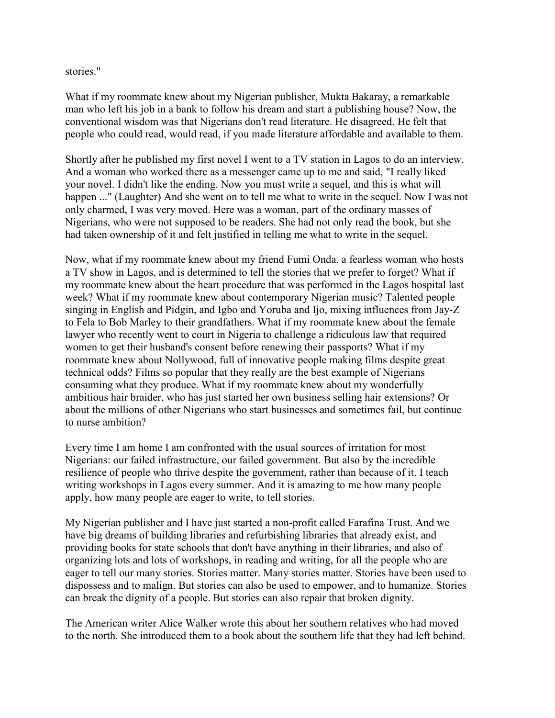stories."

What if my roommate knew about my Nigerian publisher, Mukta Bakaray, a remarkable man who left his job in a bank to follow his dream and start a publishing house? Now, the conventional wisdom was that Nigerians don't read literature. He disagreed. He felt that people who could read, would read, if you made literature affordable and available to them.

Shortly after he published my first novel I went to a TV station in Lagos to do an interview. And a woman who worked there as a messenger came up to me and said, "I really liked your novel. I didn't like the ending. Now you must write a sequel, and this is what will happen ..." (Laughter) And she went on to tell me what to write in the sequel. Now I was not only charmed, I was very moved. Here was a woman, part of the ordinary masses of Nigerians, who were not supposed to be readers. She had not only read the book, but she had taken ownership of it and felt justified in telling me what to write in the sequel.

Now, what if my roommate knew about my friend Fumi Onda, a fearless woman who hosts a TV show in Lagos, and is determined to tell the stories that we prefer to forget? What if my roommate knew about the heart procedure that was performed in the Lagos hospital last week? What if my roommate knew about contemporary Nigerian music? Talented people singing in English and Pidgin, and Igbo and Yoruba and Ijo, mixing influences from Jay-Z to Fela to Bob Marley to their grandfathers. What if my roommate knew about the female lawyer who recently went to court in Nigeria to challenge a ridiculous law that required women to get their husband's consent before renewing their passports? What if my roommate knew about Nollywood, full of innovative people making films despite great technical odds? Films so popular that they really are the best example of Nigerians consuming what they produce. What if my roommate knew about my wonderfully ambitious hair braider, who has just started her own business selling hair extensions? Or about the millions of other Nigerians who start businesses and sometimes fail, but continue to nurse ambition?

Every time I am home I am confronted with the usual sources of irritation for most Nigerians: our failed infrastructure, our failed government. But also by the incredible resilience of people who thrive despite the government, rather than because of it. I teach writing workshops in Lagos every summer. And it is amazing to me how many people apply, how many people are eager to write, to tell stories.

My Nigerian publisher and I have just started a non-profit called Farafina Trust. And we have big dreams of building libraries and refurbishing libraries that already exist, and providing books for state schools that don't have anything in their libraries, and also of organizing lots and lots of workshops, in reading and writing, for all the people who are eager to tell our many stories. Stories matter. Many stories matter. Stories have been used to dispossess and to malign. But stories can also be used to empower, and to humanize. Stories can break the dignity of a people. But stories can also repair that broken dignity.

The American writer Alice Walker wrote this about her southern relatives who had moved to the north. She introduced them to a book about the southern life that they had left behind.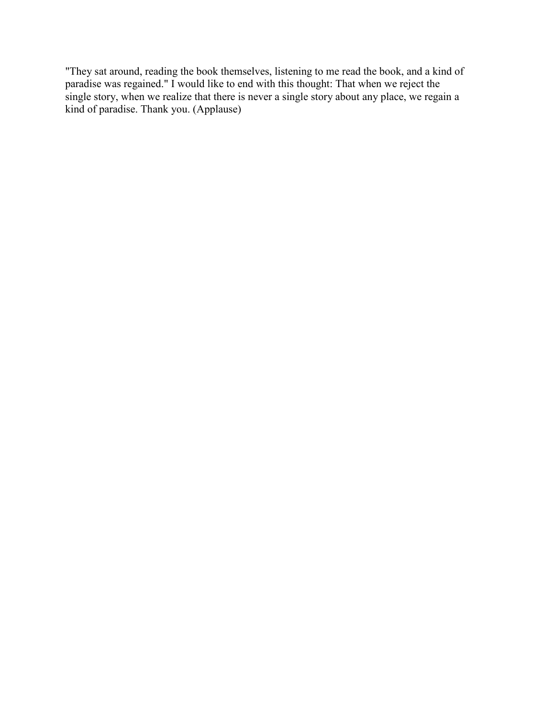"They sat around, reading the book themselves, listening to me read the book, and a kind of paradise was regained." I would like to end with this thought: That when we reject the single story, when we realize that there is never a single story about any place, we regain a kind of paradise. Thank you. (Applause)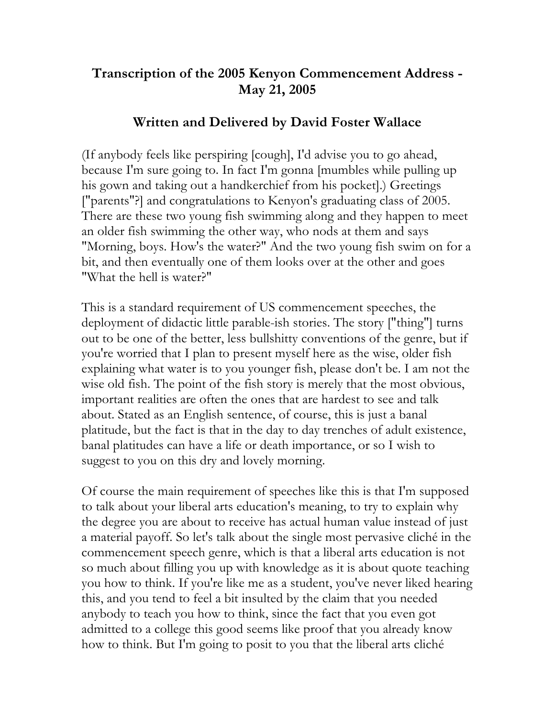## **Transcription of the 2005 Kenyon Commencement Address - May 21, 2005**

## **Written and Delivered by David Foster Wallace**

(If anybody feels like perspiring [cough], I'd advise you to go ahead, because I'm sure going to. In fact I'm gonna [mumbles while pulling up his gown and taking out a handkerchief from his pocket].) Greetings ["parents"?] and congratulations to Kenyon's graduating class of 2005. There are these two young fish swimming along and they happen to meet an older fish swimming the other way, who nods at them and says "Morning, boys. How's the water?" And the two young fish swim on for a bit, and then eventually one of them looks over at the other and goes "What the hell is water?"

This is a standard requirement of US commencement speeches, the deployment of didactic little parable-ish stories. The story ["thing"] turns out to be one of the better, less bullshitty conventions of the genre, but if you're worried that I plan to present myself here as the wise, older fish explaining what water is to you younger fish, please don't be. I am not the wise old fish. The point of the fish story is merely that the most obvious, important realities are often the ones that are hardest to see and talk about. Stated as an English sentence, of course, this is just a banal platitude, but the fact is that in the day to day trenches of adult existence, banal platitudes can have a life or death importance, or so I wish to suggest to you on this dry and lovely morning.

Of course the main requirement of speeches like this is that I'm supposed to talk about your liberal arts education's meaning, to try to explain why the degree you are about to receive has actual human value instead of just a material payoff. So let's talk about the single most pervasive cliché in the commencement speech genre, which is that a liberal arts education is not so much about filling you up with knowledge as it is about quote teaching you how to think. If you're like me as a student, you've never liked hearing this, and you tend to feel a bit insulted by the claim that you needed anybody to teach you how to think, since the fact that you even got admitted to a college this good seems like proof that you already know how to think. But I'm going to posit to you that the liberal arts cliché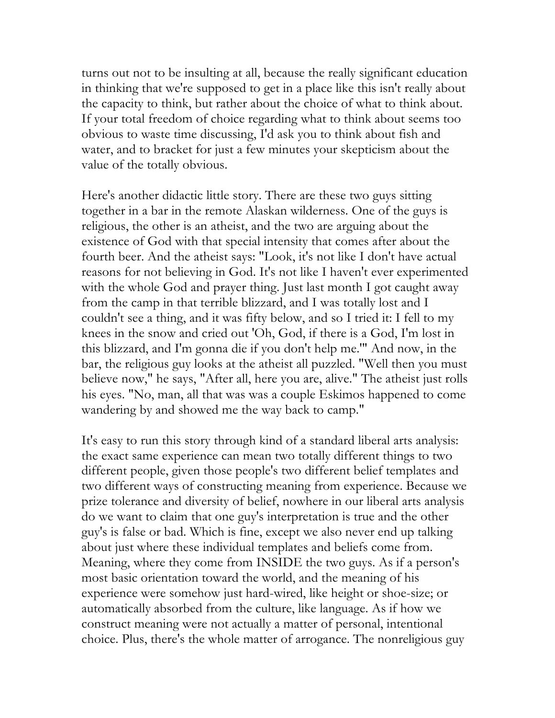turns out not to be insulting at all, because the really significant education in thinking that we're supposed to get in a place like this isn't really about the capacity to think, but rather about the choice of what to think about. If your total freedom of choice regarding what to think about seems too obvious to waste time discussing, I'd ask you to think about fish and water, and to bracket for just a few minutes your skepticism about the value of the totally obvious.

Here's another didactic little story. There are these two guys sitting together in a bar in the remote Alaskan wilderness. One of the guys is religious, the other is an atheist, and the two are arguing about the existence of God with that special intensity that comes after about the fourth beer. And the atheist says: "Look, it's not like I don't have actual reasons for not believing in God. It's not like I haven't ever experimented with the whole God and prayer thing. Just last month I got caught away from the camp in that terrible blizzard, and I was totally lost and I couldn't see a thing, and it was fifty below, and so I tried it: I fell to my knees in the snow and cried out 'Oh, God, if there is a God, I'm lost in this blizzard, and I'm gonna die if you don't help me.'" And now, in the bar, the religious guy looks at the atheist all puzzled. "Well then you must believe now," he says, "After all, here you are, alive." The atheist just rolls his eyes. "No, man, all that was was a couple Eskimos happened to come wandering by and showed me the way back to camp."

It's easy to run this story through kind of a standard liberal arts analysis: the exact same experience can mean two totally different things to two different people, given those people's two different belief templates and two different ways of constructing meaning from experience. Because we prize tolerance and diversity of belief, nowhere in our liberal arts analysis do we want to claim that one guy's interpretation is true and the other guy's is false or bad. Which is fine, except we also never end up talking about just where these individual templates and beliefs come from. Meaning, where they come from INSIDE the two guys. As if a person's most basic orientation toward the world, and the meaning of his experience were somehow just hard-wired, like height or shoe-size; or automatically absorbed from the culture, like language. As if how we construct meaning were not actually a matter of personal, intentional choice. Plus, there's the whole matter of arrogance. The nonreligious guy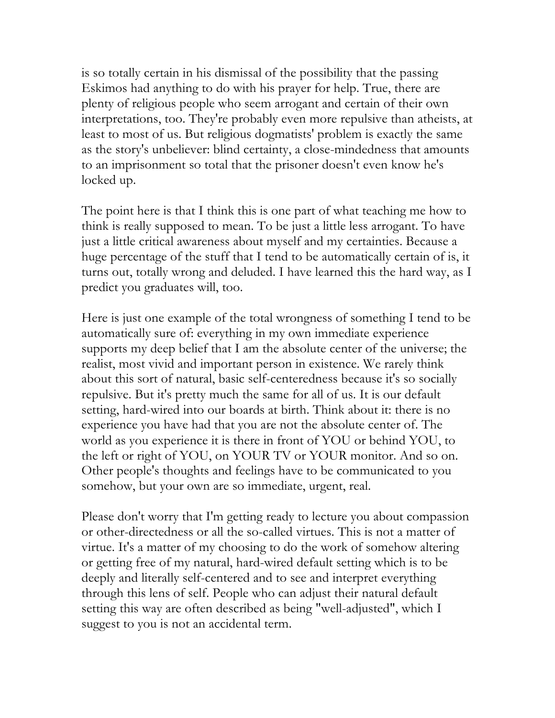is so totally certain in his dismissal of the possibility that the passing Eskimos had anything to do with his prayer for help. True, there are plenty of religious people who seem arrogant and certain of their own interpretations, too. They're probably even more repulsive than atheists, at least to most of us. But religious dogmatists' problem is exactly the same as the story's unbeliever: blind certainty, a close-mindedness that amounts to an imprisonment so total that the prisoner doesn't even know he's locked up.

The point here is that I think this is one part of what teaching me how to think is really supposed to mean. To be just a little less arrogant. To have just a little critical awareness about myself and my certainties. Because a huge percentage of the stuff that I tend to be automatically certain of is, it turns out, totally wrong and deluded. I have learned this the hard way, as I predict you graduates will, too.

Here is just one example of the total wrongness of something I tend to be automatically sure of: everything in my own immediate experience supports my deep belief that I am the absolute center of the universe; the realist, most vivid and important person in existence. We rarely think about this sort of natural, basic self-centeredness because it's so socially repulsive. But it's pretty much the same for all of us. It is our default setting, hard-wired into our boards at birth. Think about it: there is no experience you have had that you are not the absolute center of. The world as you experience it is there in front of YOU or behind YOU, to the left or right of YOU, on YOUR TV or YOUR monitor. And so on. Other people's thoughts and feelings have to be communicated to you somehow, but your own are so immediate, urgent, real.

Please don't worry that I'm getting ready to lecture you about compassion or other-directedness or all the so-called virtues. This is not a matter of virtue. It's a matter of my choosing to do the work of somehow altering or getting free of my natural, hard-wired default setting which is to be deeply and literally self-centered and to see and interpret everything through this lens of self. People who can adjust their natural default setting this way are often described as being "well-adjusted", which I suggest to you is not an accidental term.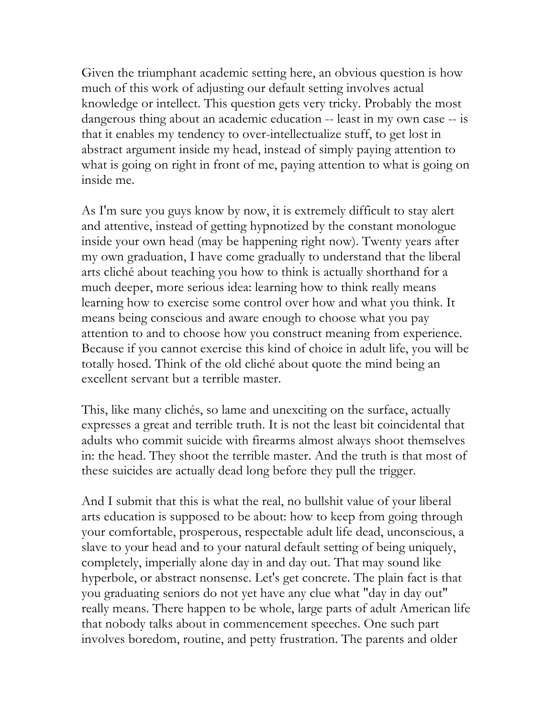Given the triumphant academic setting here, an obvious question is how much of this work of adjusting our default setting involves actual knowledge or intellect. This question gets very tricky. Probably the most dangerous thing about an academic education -- least in my own case -- is that it enables my tendency to over-intellectualize stuff, to get lost in abstract argument inside my head, instead of simply paying attention to what is going on right in front of me, paying attention to what is going on inside me.

As I'm sure you guys know by now, it is extremely difficult to stay alert and attentive, instead of getting hypnotized by the constant monologue inside your own head (may be happening right now). Twenty years after my own graduation, I have come gradually to understand that the liberal arts cliché about teaching you how to think is actually shorthand for a much deeper, more serious idea: learning how to think really means learning how to exercise some control over how and what you think. It means being conscious and aware enough to choose what you pay attention to and to choose how you construct meaning from experience. Because if you cannot exercise this kind of choice in adult life, you will be totally hosed. Think of the old cliché about quote the mind being an excellent servant but a terrible master.

This, like many clichés, so lame and unexciting on the surface, actually expresses a great and terrible truth. It is not the least bit coincidental that adults who commit suicide with firearms almost always shoot themselves in: the head. They shoot the terrible master. And the truth is that most of these suicides are actually dead long before they pull the trigger.

And I submit that this is what the real, no bullshit value of your liberal arts education is supposed to be about: how to keep from going through your comfortable, prosperous, respectable adult life dead, unconscious, a slave to your head and to your natural default setting of being uniquely, completely, imperially alone day in and day out. That may sound like hyperbole, or abstract nonsense. Let's get concrete. The plain fact is that you graduating seniors do not yet have any clue what "day in day out" really means. There happen to be whole, large parts of adult American life that nobody talks about in commencement speeches. One such part involves boredom, routine, and petty frustration. The parents and older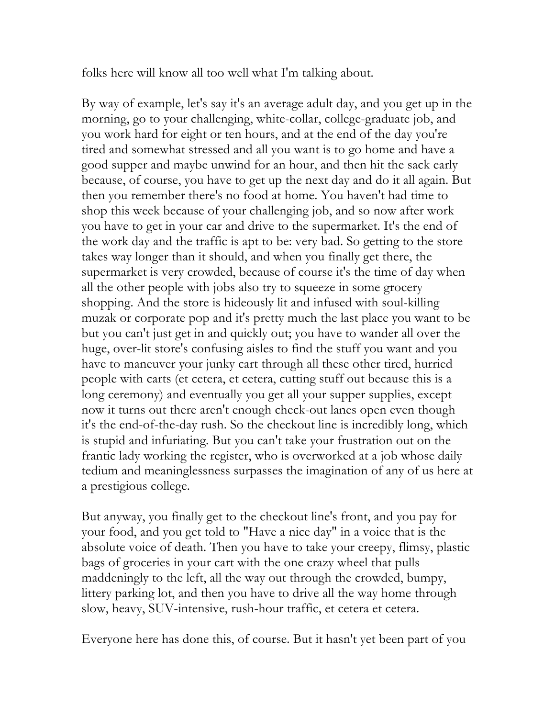folks here will know all too well what I'm talking about.

By way of example, let's say it's an average adult day, and you get up in the morning, go to your challenging, white-collar, college-graduate job, and you work hard for eight or ten hours, and at the end of the day you're tired and somewhat stressed and all you want is to go home and have a good supper and maybe unwind for an hour, and then hit the sack early because, of course, you have to get up the next day and do it all again. But then you remember there's no food at home. You haven't had time to shop this week because of your challenging job, and so now after work you have to get in your car and drive to the supermarket. It's the end of the work day and the traffic is apt to be: very bad. So getting to the store takes way longer than it should, and when you finally get there, the supermarket is very crowded, because of course it's the time of day when all the other people with jobs also try to squeeze in some grocery shopping. And the store is hideously lit and infused with soul-killing muzak or corporate pop and it's pretty much the last place you want to be but you can't just get in and quickly out; you have to wander all over the huge, over-lit store's confusing aisles to find the stuff you want and you have to maneuver your junky cart through all these other tired, hurried people with carts (et cetera, et cetera, cutting stuff out because this is a long ceremony) and eventually you get all your supper supplies, except now it turns out there aren't enough check-out lanes open even though it's the end-of-the-day rush. So the checkout line is incredibly long, which is stupid and infuriating. But you can't take your frustration out on the frantic lady working the register, who is overworked at a job whose daily tedium and meaninglessness surpasses the imagination of any of us here at a prestigious college.

But anyway, you finally get to the checkout line's front, and you pay for your food, and you get told to "Have a nice day" in a voice that is the absolute voice of death. Then you have to take your creepy, flimsy, plastic bags of groceries in your cart with the one crazy wheel that pulls maddeningly to the left, all the way out through the crowded, bumpy, littery parking lot, and then you have to drive all the way home through slow, heavy, SUV-intensive, rush-hour traffic, et cetera et cetera.

Everyone here has done this, of course. But it hasn't yet been part of you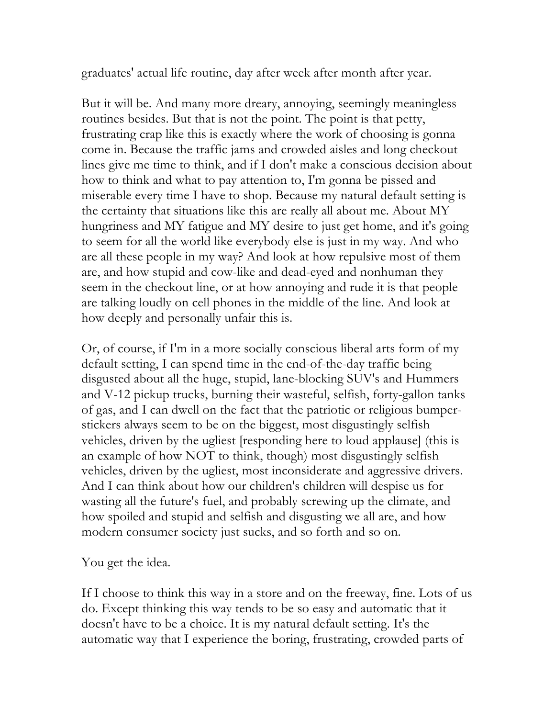graduates' actual life routine, day after week after month after year.

But it will be. And many more dreary, annoying, seemingly meaningless routines besides. But that is not the point. The point is that petty, frustrating crap like this is exactly where the work of choosing is gonna come in. Because the traffic jams and crowded aisles and long checkout lines give me time to think, and if I don't make a conscious decision about how to think and what to pay attention to, I'm gonna be pissed and miserable every time I have to shop. Because my natural default setting is the certainty that situations like this are really all about me. About MY hungriness and MY fatigue and MY desire to just get home, and it's going to seem for all the world like everybody else is just in my way. And who are all these people in my way? And look at how repulsive most of them are, and how stupid and cow-like and dead-eyed and nonhuman they seem in the checkout line, or at how annoying and rude it is that people are talking loudly on cell phones in the middle of the line. And look at how deeply and personally unfair this is.

Or, of course, if I'm in a more socially conscious liberal arts form of my default setting, I can spend time in the end-of-the-day traffic being disgusted about all the huge, stupid, lane-blocking SUV's and Hummers and V-12 pickup trucks, burning their wasteful, selfish, forty-gallon tanks of gas, and I can dwell on the fact that the patriotic or religious bumperstickers always seem to be on the biggest, most disgustingly selfish vehicles, driven by the ugliest [responding here to loud applause] (this is an example of how NOT to think, though) most disgustingly selfish vehicles, driven by the ugliest, most inconsiderate and aggressive drivers. And I can think about how our children's children will despise us for wasting all the future's fuel, and probably screwing up the climate, and how spoiled and stupid and selfish and disgusting we all are, and how modern consumer society just sucks, and so forth and so on.

You get the idea.

If I choose to think this way in a store and on the freeway, fine. Lots of us do. Except thinking this way tends to be so easy and automatic that it doesn't have to be a choice. It is my natural default setting. It's the automatic way that I experience the boring, frustrating, crowded parts of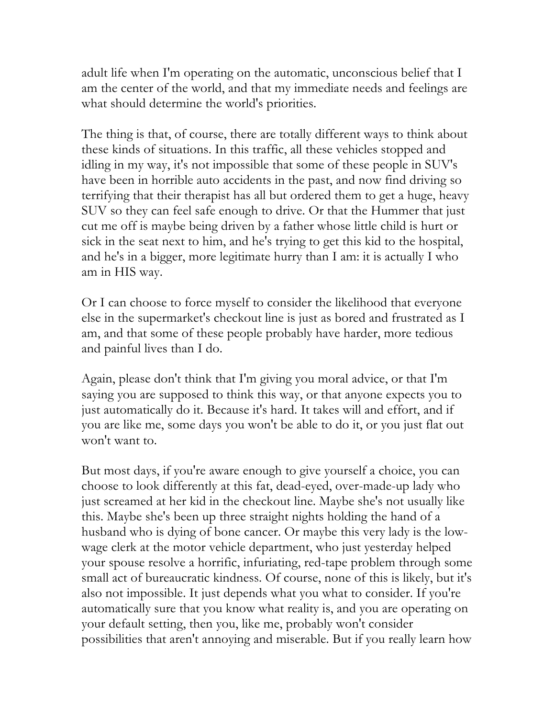adult life when I'm operating on the automatic, unconscious belief that I am the center of the world, and that my immediate needs and feelings are what should determine the world's priorities.

The thing is that, of course, there are totally different ways to think about these kinds of situations. In this traffic, all these vehicles stopped and idling in my way, it's not impossible that some of these people in SUV's have been in horrible auto accidents in the past, and now find driving so terrifying that their therapist has all but ordered them to get a huge, heavy SUV so they can feel safe enough to drive. Or that the Hummer that just cut me off is maybe being driven by a father whose little child is hurt or sick in the seat next to him, and he's trying to get this kid to the hospital, and he's in a bigger, more legitimate hurry than I am: it is actually I who am in HIS way.

Or I can choose to force myself to consider the likelihood that everyone else in the supermarket's checkout line is just as bored and frustrated as I am, and that some of these people probably have harder, more tedious and painful lives than I do.

Again, please don't think that I'm giving you moral advice, or that I'm saying you are supposed to think this way, or that anyone expects you to just automatically do it. Because it's hard. It takes will and effort, and if you are like me, some days you won't be able to do it, or you just flat out won't want to.

But most days, if you're aware enough to give yourself a choice, you can choose to look differently at this fat, dead-eyed, over-made-up lady who just screamed at her kid in the checkout line. Maybe she's not usually like this. Maybe she's been up three straight nights holding the hand of a husband who is dying of bone cancer. Or maybe this very lady is the lowwage clerk at the motor vehicle department, who just yesterday helped your spouse resolve a horrific, infuriating, red-tape problem through some small act of bureaucratic kindness. Of course, none of this is likely, but it's also not impossible. It just depends what you what to consider. If you're automatically sure that you know what reality is, and you are operating on your default setting, then you, like me, probably won't consider possibilities that aren't annoying and miserable. But if you really learn how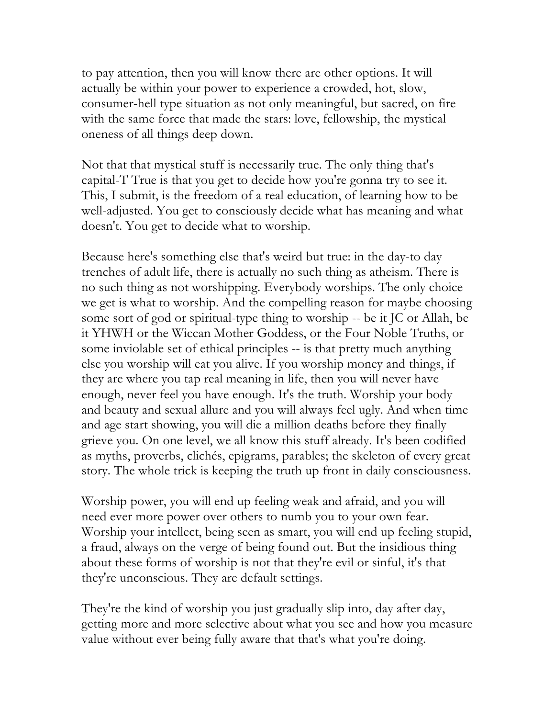to pay attention, then you will know there are other options. It will actually be within your power to experience a crowded, hot, slow, consumer-hell type situation as not only meaningful, but sacred, on fire with the same force that made the stars: love, fellowship, the mystical oneness of all things deep down.

Not that that mystical stuff is necessarily true. The only thing that's capital-T True is that you get to decide how you're gonna try to see it. This, I submit, is the freedom of a real education, of learning how to be well-adjusted. You get to consciously decide what has meaning and what doesn't. You get to decide what to worship.

Because here's something else that's weird but true: in the day-to day trenches of adult life, there is actually no such thing as atheism. There is no such thing as not worshipping. Everybody worships. The only choice we get is what to worship. And the compelling reason for maybe choosing some sort of god or spiritual-type thing to worship -- be it JC or Allah, be it YHWH or the Wiccan Mother Goddess, or the Four Noble Truths, or some inviolable set of ethical principles -- is that pretty much anything else you worship will eat you alive. If you worship money and things, if they are where you tap real meaning in life, then you will never have enough, never feel you have enough. It's the truth. Worship your body and beauty and sexual allure and you will always feel ugly. And when time and age start showing, you will die a million deaths before they finally grieve you. On one level, we all know this stuff already. It's been codified as myths, proverbs, clichés, epigrams, parables; the skeleton of every great story. The whole trick is keeping the truth up front in daily consciousness.

Worship power, you will end up feeling weak and afraid, and you will need ever more power over others to numb you to your own fear. Worship your intellect, being seen as smart, you will end up feeling stupid, a fraud, always on the verge of being found out. But the insidious thing about these forms of worship is not that they're evil or sinful, it's that they're unconscious. They are default settings.

They're the kind of worship you just gradually slip into, day after day, getting more and more selective about what you see and how you measure value without ever being fully aware that that's what you're doing.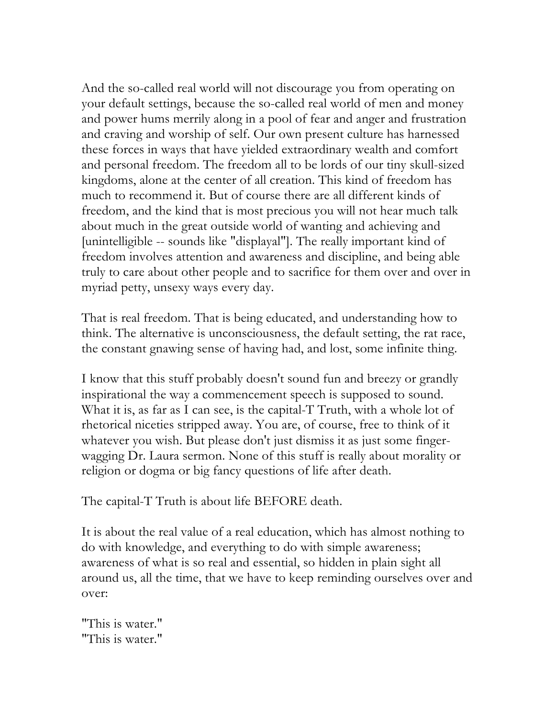And the so-called real world will not discourage you from operating on your default settings, because the so-called real world of men and money and power hums merrily along in a pool of fear and anger and frustration and craving and worship of self. Our own present culture has harnessed these forces in ways that have yielded extraordinary wealth and comfort and personal freedom. The freedom all to be lords of our tiny skull-sized kingdoms, alone at the center of all creation. This kind of freedom has much to recommend it. But of course there are all different kinds of freedom, and the kind that is most precious you will not hear much talk about much in the great outside world of wanting and achieving and [unintelligible -- sounds like "displayal"]. The really important kind of freedom involves attention and awareness and discipline, and being able truly to care about other people and to sacrifice for them over and over in myriad petty, unsexy ways every day.

That is real freedom. That is being educated, and understanding how to think. The alternative is unconsciousness, the default setting, the rat race, the constant gnawing sense of having had, and lost, some infinite thing.

I know that this stuff probably doesn't sound fun and breezy or grandly inspirational the way a commencement speech is supposed to sound. What it is, as far as I can see, is the capital-T Truth, with a whole lot of rhetorical niceties stripped away. You are, of course, free to think of it whatever you wish. But please don't just dismiss it as just some fingerwagging Dr. Laura sermon. None of this stuff is really about morality or religion or dogma or big fancy questions of life after death.

The capital-T Truth is about life BEFORE death.

It is about the real value of a real education, which has almost nothing to do with knowledge, and everything to do with simple awareness; awareness of what is so real and essential, so hidden in plain sight all around us, all the time, that we have to keep reminding ourselves over and over:

"This is water." "This is water."